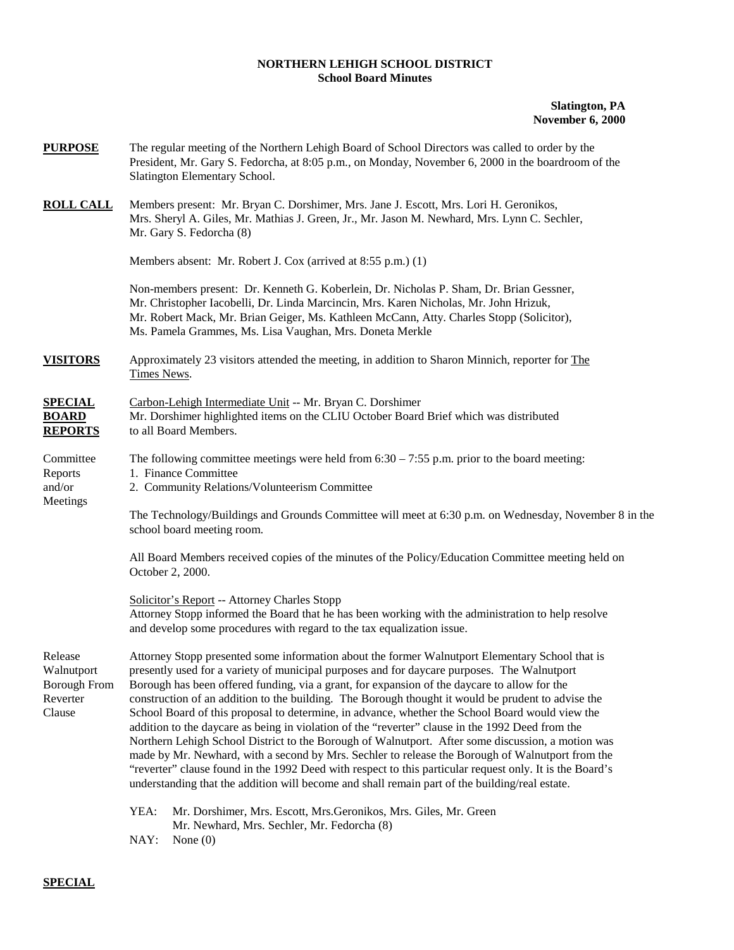## **NORTHERN LEHIGH SCHOOL DISTRICT School Board Minutes**

## **Slatington, PA November 6, 2000**

| <b>PURPOSE</b>                                                     | The regular meeting of the Northern Lehigh Board of School Directors was called to order by the<br>President, Mr. Gary S. Fedorcha, at 8:05 p.m., on Monday, November 6, 2000 in the boardroom of the<br>Slatington Elementary School.                                                                                                                                                                                                                                                                                                                                                                                                                                                                                                                                                                                                                                                                                                                                                                                             |  |  |  |  |
|--------------------------------------------------------------------|------------------------------------------------------------------------------------------------------------------------------------------------------------------------------------------------------------------------------------------------------------------------------------------------------------------------------------------------------------------------------------------------------------------------------------------------------------------------------------------------------------------------------------------------------------------------------------------------------------------------------------------------------------------------------------------------------------------------------------------------------------------------------------------------------------------------------------------------------------------------------------------------------------------------------------------------------------------------------------------------------------------------------------|--|--|--|--|
| <b>ROLL CALL</b>                                                   | Members present: Mr. Bryan C. Dorshimer, Mrs. Jane J. Escott, Mrs. Lori H. Geronikos,<br>Mrs. Sheryl A. Giles, Mr. Mathias J. Green, Jr., Mr. Jason M. Newhard, Mrs. Lynn C. Sechler,<br>Mr. Gary S. Fedorcha (8)                                                                                                                                                                                                                                                                                                                                                                                                                                                                                                                                                                                                                                                                                                                                                                                                                  |  |  |  |  |
|                                                                    | Members absent: Mr. Robert J. Cox (arrived at 8:55 p.m.) (1)                                                                                                                                                                                                                                                                                                                                                                                                                                                                                                                                                                                                                                                                                                                                                                                                                                                                                                                                                                       |  |  |  |  |
|                                                                    | Non-members present: Dr. Kenneth G. Koberlein, Dr. Nicholas P. Sham, Dr. Brian Gessner,<br>Mr. Christopher Iacobelli, Dr. Linda Marcincin, Mrs. Karen Nicholas, Mr. John Hrizuk,<br>Mr. Robert Mack, Mr. Brian Geiger, Ms. Kathleen McCann, Atty. Charles Stopp (Solicitor),<br>Ms. Pamela Grammes, Ms. Lisa Vaughan, Mrs. Doneta Merkle                                                                                                                                                                                                                                                                                                                                                                                                                                                                                                                                                                                                                                                                                           |  |  |  |  |
| <b>VISITORS</b>                                                    | Approximately 23 visitors attended the meeting, in addition to Sharon Minnich, reporter for The<br>Times News.                                                                                                                                                                                                                                                                                                                                                                                                                                                                                                                                                                                                                                                                                                                                                                                                                                                                                                                     |  |  |  |  |
| <b>SPECIAL</b><br><b>BOARD</b><br><b>REPORTS</b>                   | Carbon-Lehigh Intermediate Unit -- Mr. Bryan C. Dorshimer<br>Mr. Dorshimer highlighted items on the CLIU October Board Brief which was distributed<br>to all Board Members.                                                                                                                                                                                                                                                                                                                                                                                                                                                                                                                                                                                                                                                                                                                                                                                                                                                        |  |  |  |  |
| Committee<br>Reports<br>and/or<br>Meetings                         | The following committee meetings were held from $6:30 - 7:55$ p.m. prior to the board meeting:<br>1. Finance Committee<br>2. Community Relations/Volunteerism Committee                                                                                                                                                                                                                                                                                                                                                                                                                                                                                                                                                                                                                                                                                                                                                                                                                                                            |  |  |  |  |
|                                                                    | The Technology/Buildings and Grounds Committee will meet at 6:30 p.m. on Wednesday, November 8 in the<br>school board meeting room.                                                                                                                                                                                                                                                                                                                                                                                                                                                                                                                                                                                                                                                                                                                                                                                                                                                                                                |  |  |  |  |
|                                                                    | All Board Members received copies of the minutes of the Policy/Education Committee meeting held on<br>October 2, 2000.                                                                                                                                                                                                                                                                                                                                                                                                                                                                                                                                                                                                                                                                                                                                                                                                                                                                                                             |  |  |  |  |
|                                                                    | Solicitor's Report -- Attorney Charles Stopp<br>Attorney Stopp informed the Board that he has been working with the administration to help resolve<br>and develop some procedures with regard to the tax equalization issue.                                                                                                                                                                                                                                                                                                                                                                                                                                                                                                                                                                                                                                                                                                                                                                                                       |  |  |  |  |
| Release<br>Walnutport<br><b>Borough From</b><br>Reverter<br>Clause | Attorney Stopp presented some information about the former Walnutport Elementary School that is<br>presently used for a variety of municipal purposes and for daycare purposes. The Walnutport<br>Borough has been offered funding, via a grant, for expansion of the daycare to allow for the<br>construction of an addition to the building. The Borough thought it would be prudent to advise the<br>School Board of this proposal to determine, in advance, whether the School Board would view the<br>addition to the daycare as being in violation of the "reverter" clause in the 1992 Deed from the<br>Northern Lehigh School District to the Borough of Walnutport. After some discussion, a motion was<br>made by Mr. Newhard, with a second by Mrs. Sechler to release the Borough of Walnutport from the<br>"reverter" clause found in the 1992 Deed with respect to this particular request only. It is the Board's<br>understanding that the addition will become and shall remain part of the building/real estate. |  |  |  |  |
|                                                                    | YEA:<br>Mr. Dorshimer, Mrs. Escott, Mrs. Geronikos, Mrs. Giles, Mr. Green<br>Mr. Newhard, Mrs. Sechler, Mr. Fedorcha (8)<br>NAY:<br>None $(0)$                                                                                                                                                                                                                                                                                                                                                                                                                                                                                                                                                                                                                                                                                                                                                                                                                                                                                     |  |  |  |  |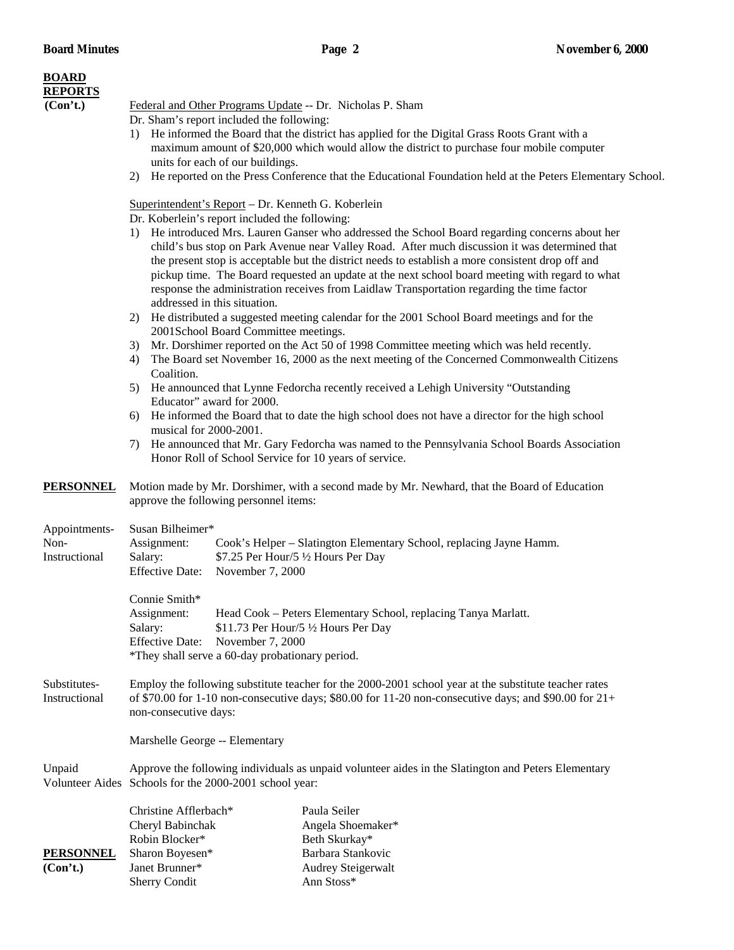| <b>BOARD</b><br><b>REPORTS</b>         |                                                                                                                                                                                                                                                                                                                                                                                                                                                                                                                                                                                                                                                                                                                                                                                                                                                                                                                                                                                                                                                                                                                                                                                                                                                                                                                                                                         |                                                                                                             |  |  |
|----------------------------------------|-------------------------------------------------------------------------------------------------------------------------------------------------------------------------------------------------------------------------------------------------------------------------------------------------------------------------------------------------------------------------------------------------------------------------------------------------------------------------------------------------------------------------------------------------------------------------------------------------------------------------------------------------------------------------------------------------------------------------------------------------------------------------------------------------------------------------------------------------------------------------------------------------------------------------------------------------------------------------------------------------------------------------------------------------------------------------------------------------------------------------------------------------------------------------------------------------------------------------------------------------------------------------------------------------------------------------------------------------------------------------|-------------------------------------------------------------------------------------------------------------|--|--|
| (Con't.)                               | Federal and Other Programs Update -- Dr. Nicholas P. Sham<br>Dr. Sham's report included the following:<br>1) He informed the Board that the district has applied for the Digital Grass Roots Grant with a<br>maximum amount of \$20,000 which would allow the district to purchase four mobile computer<br>units for each of our buildings.                                                                                                                                                                                                                                                                                                                                                                                                                                                                                                                                                                                                                                                                                                                                                                                                                                                                                                                                                                                                                             |                                                                                                             |  |  |
|                                        | 2)                                                                                                                                                                                                                                                                                                                                                                                                                                                                                                                                                                                                                                                                                                                                                                                                                                                                                                                                                                                                                                                                                                                                                                                                                                                                                                                                                                      | He reported on the Press Conference that the Educational Foundation held at the Peters Elementary School.   |  |  |
|                                        | Superintendent's Report - Dr. Kenneth G. Koberlein<br>Dr. Koberlein's report included the following:<br>1) He introduced Mrs. Lauren Ganser who addressed the School Board regarding concerns about her<br>child's bus stop on Park Avenue near Valley Road. After much discussion it was determined that<br>the present stop is acceptable but the district needs to establish a more consistent drop off and<br>pickup time. The Board requested an update at the next school board meeting with regard to what<br>response the administration receives from Laidlaw Transportation regarding the time factor<br>addressed in this situation.<br>2) He distributed a suggested meeting calendar for the 2001 School Board meetings and for the<br>2001School Board Committee meetings.<br>Mr. Dorshimer reported on the Act 50 of 1998 Committee meeting which was held recently.<br>3)<br>The Board set November 16, 2000 as the next meeting of the Concerned Commonwealth Citizens<br>4)<br>Coalition.<br>5) He announced that Lynne Fedorcha recently received a Lehigh University "Outstanding<br>Educator" award for 2000.<br>6) He informed the Board that to date the high school does not have a director for the high school<br>musical for 2000-2001.<br>He announced that Mr. Gary Fedorcha was named to the Pennsylvania School Boards Association<br>7) |                                                                                                             |  |  |
| <b>PERSONNEL</b>                       | Honor Roll of School Service for 10 years of service.<br>Motion made by Mr. Dorshimer, with a second made by Mr. Newhard, that the Board of Education<br>approve the following personnel items:                                                                                                                                                                                                                                                                                                                                                                                                                                                                                                                                                                                                                                                                                                                                                                                                                                                                                                                                                                                                                                                                                                                                                                         |                                                                                                             |  |  |
| Appointments-<br>Non-<br>Instructional | Susan Bilheimer*<br>Assignment:<br>Salary:<br>\$7.25 Per Hour/5 1/2 Hours Per Day<br><b>Effective Date:</b><br>November 7, 2000                                                                                                                                                                                                                                                                                                                                                                                                                                                                                                                                                                                                                                                                                                                                                                                                                                                                                                                                                                                                                                                                                                                                                                                                                                         | Cook's Helper – Slatington Elementary School, replacing Jayne Hamm.                                         |  |  |
|                                        | Connie Smith*<br>Assignment:<br>Salary:<br>\$11.73 Per Hour/5 1/2 Hours Per Day<br><b>Effective Date:</b><br>November 7, 2000<br>*They shall serve a 60-day probationary period.                                                                                                                                                                                                                                                                                                                                                                                                                                                                                                                                                                                                                                                                                                                                                                                                                                                                                                                                                                                                                                                                                                                                                                                        | Head Cook - Peters Elementary School, replacing Tanya Marlatt.                                              |  |  |
| Substitutes-<br>Instructional          | Employ the following substitute teacher for the 2000-2001 school year at the substitute teacher rates<br>of \$70.00 for 1-10 non-consecutive days; \$80.00 for 11-20 non-consecutive days; and \$90.00 for $21+$<br>non-consecutive days:                                                                                                                                                                                                                                                                                                                                                                                                                                                                                                                                                                                                                                                                                                                                                                                                                                                                                                                                                                                                                                                                                                                               |                                                                                                             |  |  |
|                                        | Marshelle George -- Elementary                                                                                                                                                                                                                                                                                                                                                                                                                                                                                                                                                                                                                                                                                                                                                                                                                                                                                                                                                                                                                                                                                                                                                                                                                                                                                                                                          |                                                                                                             |  |  |
| Unpaid                                 | Approve the following individuals as unpaid volunteer aides in the Slatington and Peters Elementary<br>Volunteer Aides Schools for the 2000-2001 school year:                                                                                                                                                                                                                                                                                                                                                                                                                                                                                                                                                                                                                                                                                                                                                                                                                                                                                                                                                                                                                                                                                                                                                                                                           |                                                                                                             |  |  |
| <b>PERSONNEL</b><br>(Con't.)           | Christine Afflerbach*<br>Cheryl Babinchak<br>Robin Blocker*<br>Sharon Boyesen*<br>Janet Brunner*<br><b>Sherry Condit</b>                                                                                                                                                                                                                                                                                                                                                                                                                                                                                                                                                                                                                                                                                                                                                                                                                                                                                                                                                                                                                                                                                                                                                                                                                                                | Paula Seiler<br>Angela Shoemaker*<br>Beth Skurkay*<br>Barbara Stankovic<br>Audrey Steigerwalt<br>Ann Stoss* |  |  |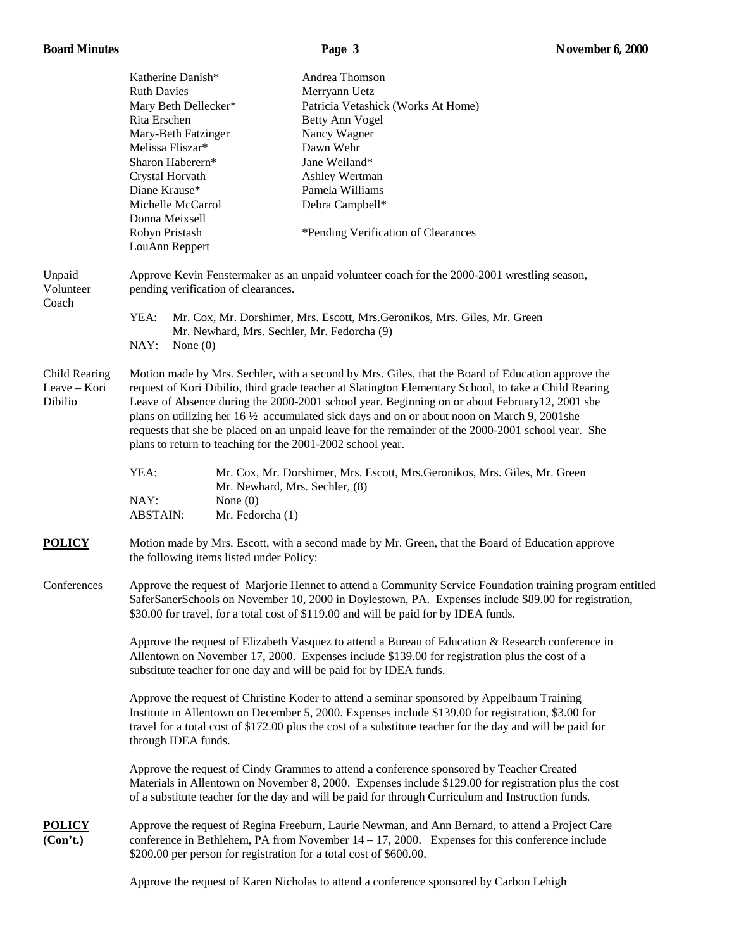| <b>Board Minutes</b> |  |
|----------------------|--|
|----------------------|--|

|                                          |                                                                                                                                                                                                                                                                                                                                                                                                                                                                                                                                                                                           | ruge v                                                                                                                                                                                                                                                                                                 | TULLIUUL VI WUUU |  |
|------------------------------------------|-------------------------------------------------------------------------------------------------------------------------------------------------------------------------------------------------------------------------------------------------------------------------------------------------------------------------------------------------------------------------------------------------------------------------------------------------------------------------------------------------------------------------------------------------------------------------------------------|--------------------------------------------------------------------------------------------------------------------------------------------------------------------------------------------------------------------------------------------------------------------------------------------------------|------------------|--|
|                                          | Katherine Danish*                                                                                                                                                                                                                                                                                                                                                                                                                                                                                                                                                                         | Andrea Thomson                                                                                                                                                                                                                                                                                         |                  |  |
|                                          | <b>Ruth Davies</b>                                                                                                                                                                                                                                                                                                                                                                                                                                                                                                                                                                        | Merryann Uetz                                                                                                                                                                                                                                                                                          |                  |  |
|                                          | Mary Beth Dellecker*                                                                                                                                                                                                                                                                                                                                                                                                                                                                                                                                                                      | Patricia Vetashick (Works At Home)                                                                                                                                                                                                                                                                     |                  |  |
|                                          | Rita Erschen                                                                                                                                                                                                                                                                                                                                                                                                                                                                                                                                                                              | Betty Ann Vogel                                                                                                                                                                                                                                                                                        |                  |  |
|                                          | Mary-Beth Fatzinger                                                                                                                                                                                                                                                                                                                                                                                                                                                                                                                                                                       | Nancy Wagner                                                                                                                                                                                                                                                                                           |                  |  |
|                                          | Melissa Fliszar*                                                                                                                                                                                                                                                                                                                                                                                                                                                                                                                                                                          | Dawn Wehr                                                                                                                                                                                                                                                                                              |                  |  |
|                                          | Sharon Haberern*                                                                                                                                                                                                                                                                                                                                                                                                                                                                                                                                                                          | Jane Weiland*                                                                                                                                                                                                                                                                                          |                  |  |
|                                          | Crystal Horvath                                                                                                                                                                                                                                                                                                                                                                                                                                                                                                                                                                           | Ashley Wertman                                                                                                                                                                                                                                                                                         |                  |  |
|                                          | Diane Krause*                                                                                                                                                                                                                                                                                                                                                                                                                                                                                                                                                                             | Pamela Williams                                                                                                                                                                                                                                                                                        |                  |  |
|                                          | Michelle McCarrol                                                                                                                                                                                                                                                                                                                                                                                                                                                                                                                                                                         | Debra Campbell*                                                                                                                                                                                                                                                                                        |                  |  |
|                                          | Donna Meixsell                                                                                                                                                                                                                                                                                                                                                                                                                                                                                                                                                                            |                                                                                                                                                                                                                                                                                                        |                  |  |
|                                          | Robyn Pristash                                                                                                                                                                                                                                                                                                                                                                                                                                                                                                                                                                            | *Pending Verification of Clearances                                                                                                                                                                                                                                                                    |                  |  |
|                                          | LouAnn Reppert                                                                                                                                                                                                                                                                                                                                                                                                                                                                                                                                                                            |                                                                                                                                                                                                                                                                                                        |                  |  |
| Unpaid<br>Volunteer                      | pending verification of clearances.                                                                                                                                                                                                                                                                                                                                                                                                                                                                                                                                                       | Approve Kevin Fenstermaker as an unpaid volunteer coach for the 2000-2001 wrestling season,                                                                                                                                                                                                            |                  |  |
| Coach                                    | YEA:                                                                                                                                                                                                                                                                                                                                                                                                                                                                                                                                                                                      | Mr. Cox, Mr. Dorshimer, Mrs. Escott, Mrs. Geronikos, Mrs. Giles, Mr. Green                                                                                                                                                                                                                             |                  |  |
|                                          | Mr. Newhard, Mrs. Sechler, Mr. Fedorcha (9)                                                                                                                                                                                                                                                                                                                                                                                                                                                                                                                                               |                                                                                                                                                                                                                                                                                                        |                  |  |
|                                          | NAY:<br>None $(0)$                                                                                                                                                                                                                                                                                                                                                                                                                                                                                                                                                                        |                                                                                                                                                                                                                                                                                                        |                  |  |
| Child Rearing<br>Leave - Kori<br>Dibilio | Motion made by Mrs. Sechler, with a second by Mrs. Giles, that the Board of Education approve the<br>request of Kori Dibilio, third grade teacher at Slatington Elementary School, to take a Child Rearing<br>Leave of Absence during the 2000-2001 school year. Beginning on or about February 12, 2001 she<br>plans on utilizing her $16\frac{1}{2}$ accumulated sick days and on or about noon on March 9, 2001she<br>requests that she be placed on an unpaid leave for the remainder of the 2000-2001 school year. She<br>plans to return to teaching for the 2001-2002 school year. |                                                                                                                                                                                                                                                                                                        |                  |  |
|                                          | YEA:<br>Mr. Newhard, Mrs. Sechler, (8)                                                                                                                                                                                                                                                                                                                                                                                                                                                                                                                                                    | Mr. Cox, Mr. Dorshimer, Mrs. Escott, Mrs. Geronikos, Mrs. Giles, Mr. Green                                                                                                                                                                                                                             |                  |  |
|                                          | NAY:<br>None $(0)$<br><b>ABSTAIN:</b><br>Mr. Fedorcha (1)                                                                                                                                                                                                                                                                                                                                                                                                                                                                                                                                 |                                                                                                                                                                                                                                                                                                        |                  |  |
| <b>POLICY</b>                            | Motion made by Mrs. Escott, with a second made by Mr. Green, that the Board of Education approve<br>the following items listed under Policy:                                                                                                                                                                                                                                                                                                                                                                                                                                              |                                                                                                                                                                                                                                                                                                        |                  |  |
| Conferences                              | Approve the request of Marjorie Hennet to attend a Community Service Foundation training program entitled<br>SaferSanerSchools on November 10, 2000 in Doylestown, PA. Expenses include \$89.00 for registration,<br>\$30.00 for travel, for a total cost of \$119.00 and will be paid for by IDEA funds.                                                                                                                                                                                                                                                                                 |                                                                                                                                                                                                                                                                                                        |                  |  |
|                                          | Approve the request of Elizabeth Vasquez to attend a Bureau of Education & Research conference in<br>Allentown on November 17, 2000. Expenses include \$139.00 for registration plus the cost of a<br>substitute teacher for one day and will be paid for by IDEA funds.                                                                                                                                                                                                                                                                                                                  |                                                                                                                                                                                                                                                                                                        |                  |  |
|                                          | Approve the request of Christine Koder to attend a seminar sponsored by Appelbaum Training<br>Institute in Allentown on December 5, 2000. Expenses include \$139.00 for registration, \$3.00 for<br>travel for a total cost of \$172.00 plus the cost of a substitute teacher for the day and will be paid for<br>through IDEA funds.                                                                                                                                                                                                                                                     |                                                                                                                                                                                                                                                                                                        |                  |  |
|                                          |                                                                                                                                                                                                                                                                                                                                                                                                                                                                                                                                                                                           | Approve the request of Cindy Grammes to attend a conference sponsored by Teacher Created<br>Materials in Allentown on November 8, 2000. Expenses include \$129.00 for registration plus the cost<br>of a substitute teacher for the day and will be paid for through Curriculum and Instruction funds. |                  |  |
| <b>POLICY</b><br>(Con't.)                | \$200.00 per person for registration for a total cost of \$600.00.                                                                                                                                                                                                                                                                                                                                                                                                                                                                                                                        | Approve the request of Regina Freeburn, Laurie Newman, and Ann Bernard, to attend a Project Care<br>conference in Bethlehem, PA from November $14 - 17$ , 2000. Expenses for this conference include                                                                                                   |                  |  |
|                                          |                                                                                                                                                                                                                                                                                                                                                                                                                                                                                                                                                                                           | Approve the request of Karen Nicholas to attend a conference sponsored by Carbon Lehigh                                                                                                                                                                                                                |                  |  |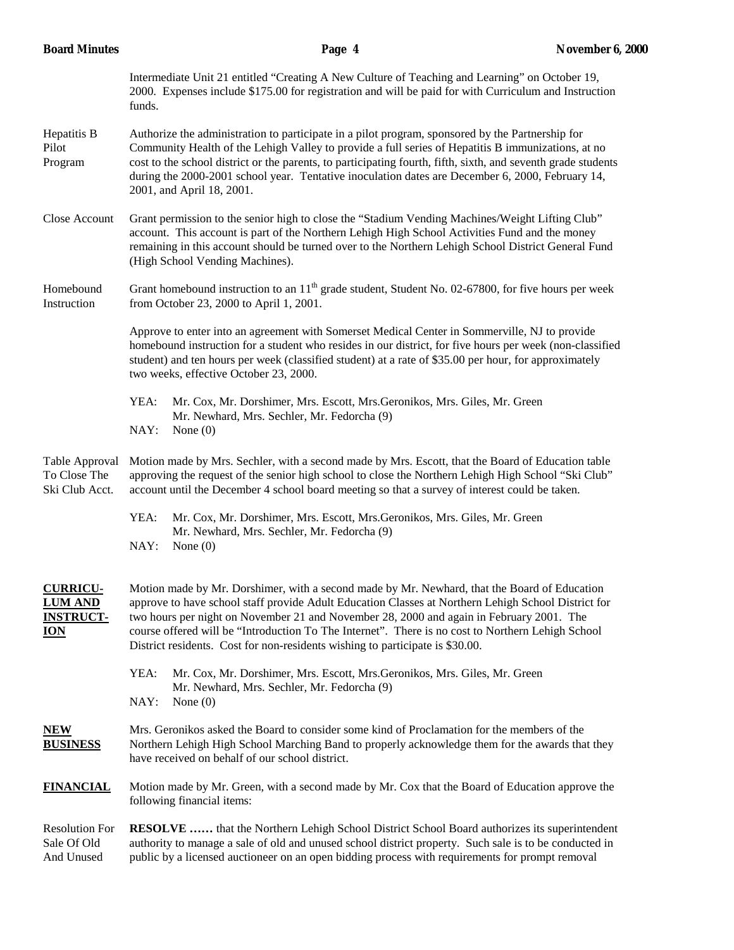| <b>Board Minutes</b>                                                | Page 4                                                                                                                                                                                                                                                                                                                                                                                                                                                                                | <b>November 6, 2000</b> |  |  |
|---------------------------------------------------------------------|---------------------------------------------------------------------------------------------------------------------------------------------------------------------------------------------------------------------------------------------------------------------------------------------------------------------------------------------------------------------------------------------------------------------------------------------------------------------------------------|-------------------------|--|--|
|                                                                     | Intermediate Unit 21 entitled "Creating A New Culture of Teaching and Learning" on October 19,<br>2000. Expenses include \$175.00 for registration and will be paid for with Curriculum and Instruction<br>funds.                                                                                                                                                                                                                                                                     |                         |  |  |
| Hepatitis B<br>Pilot<br>Program                                     | Authorize the administration to participate in a pilot program, sponsored by the Partnership for<br>Community Health of the Lehigh Valley to provide a full series of Hepatitis B immunizations, at no<br>cost to the school district or the parents, to participating fourth, fifth, sixth, and seventh grade students<br>during the 2000-2001 school year. Tentative inoculation dates are December 6, 2000, February 14,<br>2001, and April 18, 2001.                              |                         |  |  |
| Close Account                                                       | Grant permission to the senior high to close the "Stadium Vending Machines/Weight Lifting Club"<br>account. This account is part of the Northern Lehigh High School Activities Fund and the money<br>remaining in this account should be turned over to the Northern Lehigh School District General Fund<br>(High School Vending Machines).                                                                                                                                           |                         |  |  |
| Homebound<br>Instruction                                            | Grant homebound instruction to an $11th$ grade student, Student No. 02-67800, for five hours per week<br>from October 23, 2000 to April 1, 2001.                                                                                                                                                                                                                                                                                                                                      |                         |  |  |
|                                                                     | Approve to enter into an agreement with Somerset Medical Center in Sommerville, NJ to provide<br>homebound instruction for a student who resides in our district, for five hours per week (non-classified<br>student) and ten hours per week (classified student) at a rate of \$35.00 per hour, for approximately<br>two weeks, effective October 23, 2000.                                                                                                                          |                         |  |  |
|                                                                     | YEA:<br>Mr. Cox, Mr. Dorshimer, Mrs. Escott, Mrs. Geronikos, Mrs. Giles, Mr. Green<br>Mr. Newhard, Mrs. Sechler, Mr. Fedorcha (9)<br>NAY:<br>None $(0)$                                                                                                                                                                                                                                                                                                                               |                         |  |  |
| Table Approval<br>To Close The<br>Ski Club Acct.                    | Motion made by Mrs. Sechler, with a second made by Mrs. Escott, that the Board of Education table<br>approving the request of the senior high school to close the Northern Lehigh High School "Ski Club"<br>account until the December 4 school board meeting so that a survey of interest could be taken.                                                                                                                                                                            |                         |  |  |
|                                                                     | YEA:<br>Mr. Cox, Mr. Dorshimer, Mrs. Escott, Mrs. Geronikos, Mrs. Giles, Mr. Green<br>Mr. Newhard, Mrs. Sechler, Mr. Fedorcha (9)<br>NAY:<br>None $(0)$                                                                                                                                                                                                                                                                                                                               |                         |  |  |
| <b>CURRICU-</b><br><b>LUM AND</b><br><b>INSTRUCT-</b><br><b>ION</b> | Motion made by Mr. Dorshimer, with a second made by Mr. Newhard, that the Board of Education<br>approve to have school staff provide Adult Education Classes at Northern Lehigh School District for<br>two hours per night on November 21 and November 28, 2000 and again in February 2001. The<br>course offered will be "Introduction To The Internet". There is no cost to Northern Lehigh School<br>District residents. Cost for non-residents wishing to participate is \$30.00. |                         |  |  |
|                                                                     | YEA:<br>Mr. Cox, Mr. Dorshimer, Mrs. Escott, Mrs. Geronikos, Mrs. Giles, Mr. Green<br>Mr. Newhard, Mrs. Sechler, Mr. Fedorcha (9)<br>NAY:<br>None $(0)$                                                                                                                                                                                                                                                                                                                               |                         |  |  |
| <b>NEW</b><br><b>BUSINESS</b>                                       | Mrs. Geronikos asked the Board to consider some kind of Proclamation for the members of the<br>Northern Lehigh High School Marching Band to properly acknowledge them for the awards that they<br>have received on behalf of our school district.                                                                                                                                                                                                                                     |                         |  |  |
| <b>FINANCIAL</b>                                                    | Motion made by Mr. Green, with a second made by Mr. Cox that the Board of Education approve the<br>following financial items:                                                                                                                                                                                                                                                                                                                                                         |                         |  |  |
| <b>Resolution For</b><br>Sale Of Old<br>And Unused                  | <b>RESOLVE</b> that the Northern Lehigh School District School Board authorizes its superintendent<br>authority to manage a sale of old and unused school district property. Such sale is to be conducted in<br>public by a licensed auctioneer on an open bidding process with requirements for prompt removal                                                                                                                                                                       |                         |  |  |